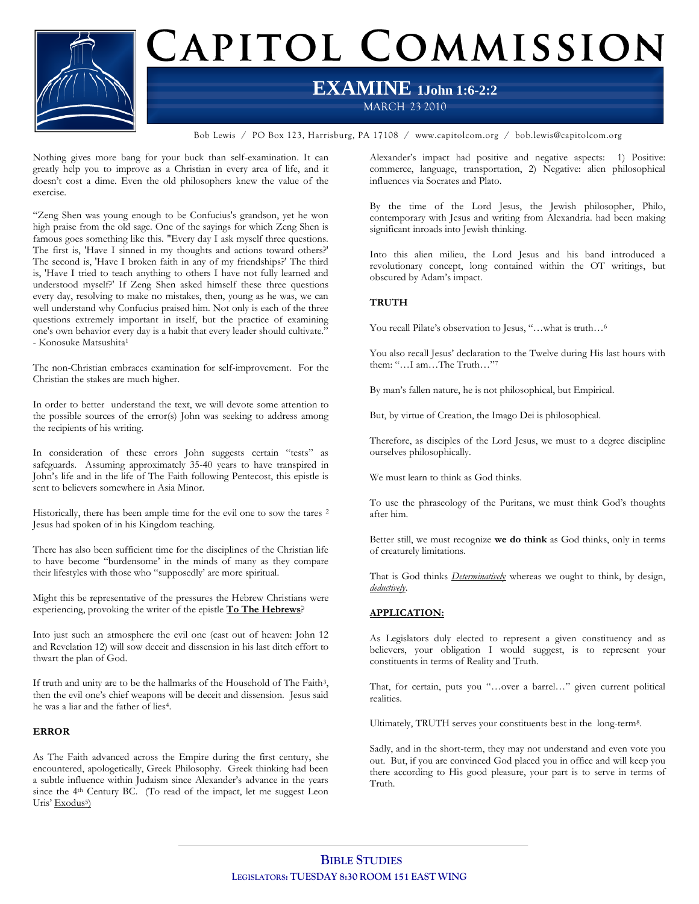

# CAPITOL COMMISSION

## **EXAMINE 1John 1:6-2:2**

MARCH 23 2010

Bob Lewis / PO Box 123, Harrisburg, PA 17108 / www.capitolcom.org / bob.lewis@capitolcom.org

Nothing gives more bang for your buck than self-examination. It can greatly help you to improve as a Christian in every area of life, and it doesn't cost a dime. Even the old philosophers knew the value of the exercise.

"Zeng Shen was young enough to be Confucius's grandson, yet he won high praise from the old sage. One of the sayings for which Zeng Shen is famous goes something like this. "Every day I ask myself three questions. The first is, 'Have I sinned in my thoughts and actions toward others?' The second is, 'Have I broken faith in any of my friendships?' The third is, 'Have I tried to teach anything to others I have not fully learned and understood myself?' If Zeng Shen asked himself these three questions every day, resolving to make no mistakes, then, young as he was, we can well understand why Confucius praised him. Not only is each of the three questions extremely important in itself, but the practice of examining one's own behavior every day is a habit that every leader should cultivate." - Konosuke Matsushita<sup>1</sup>

The non-Christian embraces examination for self-improvement. For the Christian the stakes are much higher.

In order to better understand the text, we will devote some attention to the possible sources of the error(s) John was seeking to address among the recipients of his writing.

In consideration of these errors John suggests certain "tests" as safeguards. Assuming approximately 35-40 years to have transpired in John's life and in the life of The Faith following Pentecost, this epistle is sent to believers somewhere in Asia Minor.

Historically, there has been ample time for the evil one to sow the tares <sup>2</sup> Jesus had spoken of in his Kingdom teaching.

There has also been sufficient time for the disciplines of the Christian life to have become "burdensome' in the minds of many as they compare their lifestyles with those who "supposedly' are more spiritual.

Might this be representative of the pressures the Hebrew Christians were experiencing, provoking the writer of the epistle **To The Hebrews**?

Into just such an atmosphere the evil one (cast out of heaven: John 12 and Revelation 12) will sow deceit and dissension in his last ditch effort to thwart the plan of God.

If truth and unity are to be the hallmarks of the Household of The Faith<sup>3</sup>, then the evil one's chief weapons will be deceit and dissension. Jesus said he was a liar and the father of lies4.

### **ERROR**

As The Faith advanced across the Empire during the first century, she encountered, apologetically, Greek Philosophy. Greek thinking had been a subtle influence within Judaism since Alexander's advance in the years since the 4<sup>th</sup> Century BC. (To read of the impact, let me suggest Leon Uris' Exodus<sup>5</sup>)

Alexander's impact had positive and negative aspects: 1) Positive: commerce, language, transportation, 2) Negative: alien philosophical influences via Socrates and Plato.

By the time of the Lord Jesus, the Jewish philosopher, Philo, contemporary with Jesus and writing from Alexandria. had been making significant inroads into Jewish thinking.

Into this alien milieu, the Lord Jesus and his band introduced a revolutionary concept, long contained within the OT writings, but obscured by Adam's impact.

### **TRUTH**

You recall Pilate's observation to Jesus, "…what is truth…<sup>6</sup>

You also recall Jesus' declaration to the Twelve during His last hours with them: "…I am…The Truth…"<sup>7</sup>

By man's fallen nature, he is not philosophical, but Empirical.

But, by virtue of Creation, the Imago Dei is philosophical.

Therefore, as disciples of the Lord Jesus, we must to a degree discipline ourselves philosophically.

We must learn to think as God thinks.

To use the phraseology of the Puritans, we must think God's thoughts after him.

Better still, we must recognize **we do think** as God thinks, only in terms of creaturely limitations.

That is God thinks *Determinativel*y whereas we ought to think, by design, *deductively*.

### **APPLICATION:**

As Legislators duly elected to represent a given constituency and as believers, your obligation I would suggest, is to represent your constituents in terms of Reality and Truth.

That, for certain, puts you "…over a barrel…" given current political realities.

Ultimately, TRUTH serves your constituents best in the long-term8.

Sadly, and in the short-term, they may not understand and even vote you out. But, if you are convinced God placed you in office and will keep you there according to His good pleasure, your part is to serve in terms of Truth.